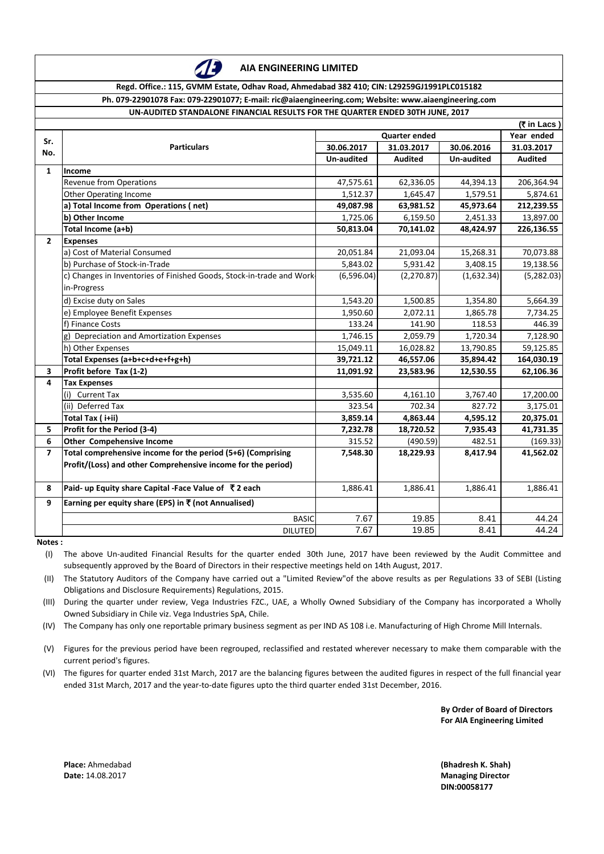

**AIA ENGINEERING LIMITED**

**Regd. Office.: 115, GVMM Estate, Odhav Road, Ahmedabad 382 410; CIN: L29259GJ1991PLC015182**

**Ph. 079-22901078 Fax: 079-22901077; E-mail: ric@aiaengineering.com; Website: www.aiaengineering.com UN-AUDITED STANDALONE FINANCIAL RESULTS FOR THE QUARTER ENDED 30TH JUNE, 2017**

|                         | HED STANDALONE I MANGIAL NESOLISTON THE QUANTEN ENDED SOTH JONE, 4    |                          |                |                   |                |  |  |  |  |
|-------------------------|-----------------------------------------------------------------------|--------------------------|----------------|-------------------|----------------|--|--|--|--|
|                         | (₹ in Lacs)<br><b>Quarter ended</b>                                   |                          |                |                   |                |  |  |  |  |
| Sr.                     | <b>Particulars</b>                                                    |                          | Year ended     |                   |                |  |  |  |  |
| No.                     |                                                                       | 30.06.2017<br>31.03.2017 |                | 30.06.2016        | 31.03.2017     |  |  |  |  |
|                         |                                                                       | <b>Un-audited</b>        | <b>Audited</b> | <b>Un-audited</b> | <b>Audited</b> |  |  |  |  |
| $\mathbf{1}$            | <b>Income</b>                                                         |                          |                |                   |                |  |  |  |  |
|                         | <b>Revenue from Operations</b>                                        | 47,575.61                | 62,336.05      | 44,394.13         | 206,364.94     |  |  |  |  |
|                         | <b>Other Operating Income</b>                                         | 1,512.37                 | 1,645.47       | 1,579.51          | 5,874.61       |  |  |  |  |
|                         | a) Total Income from Operations (net)                                 | 49,087.98                | 63,981.52      | 45,973.64         | 212,239.55     |  |  |  |  |
|                         | b) Other Income                                                       | 1,725.06                 | 6,159.50       | 2,451.33          | 13,897.00      |  |  |  |  |
|                         | Total Income (a+b)                                                    | 50,813.04                | 70,141.02      | 48,424.97         | 226,136.55     |  |  |  |  |
| $\overline{2}$          | <b>Expenses</b>                                                       |                          |                |                   |                |  |  |  |  |
|                         | a) Cost of Material Consumed                                          | 20,051.84                | 21,093.04      | 15,268.31         | 70,073.88      |  |  |  |  |
|                         | b) Purchase of Stock-in-Trade                                         | 5,843.02                 | 5,931.42       | 3,408.15          | 19,138.56      |  |  |  |  |
|                         | c) Changes in Inventories of Finished Goods, Stock-in-trade and Work- | (6,596.04)               | (2, 270.87)    | (1,632.34)        | (5,282.03)     |  |  |  |  |
|                         | in-Progress                                                           |                          |                |                   |                |  |  |  |  |
|                         | d) Excise duty on Sales                                               | 1,543.20                 | 1,500.85       | 1,354.80          | 5,664.39       |  |  |  |  |
|                         | e) Employee Benefit Expenses                                          | 1,950.60                 | 2,072.11       | 1,865.78          | 7,734.25       |  |  |  |  |
|                         | f) Finance Costs                                                      | 133.24                   | 141.90         | 118.53            | 446.39         |  |  |  |  |
|                         | g) Depreciation and Amortization Expenses                             | 1,746.15                 | 2,059.79       | 1,720.34          | 7,128.90       |  |  |  |  |
|                         | h) Other Expenses                                                     | 15,049.11                | 16,028.82      | 13,790.85         | 59,125.85      |  |  |  |  |
|                         | Total Expenses (a+b+c+d+e+f+g+h)                                      | 39,721.12                | 46,557.06      | 35,894.42         | 164,030.19     |  |  |  |  |
| $\overline{\mathbf{3}}$ | Profit before Tax (1-2)                                               | 11,091.92                | 23,583.96      | 12,530.55         | 62,106.36      |  |  |  |  |
| 4                       | <b>Tax Expenses</b>                                                   |                          |                |                   |                |  |  |  |  |
|                         | <b>Current Tax</b><br>(i)                                             | 3,535.60                 | 4,161.10       | 3,767.40          | 17,200.00      |  |  |  |  |
|                         | (ii) Deferred Tax                                                     | 323.54                   | 702.34         | 827.72            | 3,175.01       |  |  |  |  |
|                         | Total Tax (i+ii)                                                      | 3,859.14                 | 4,863.44       | 4,595.12          | 20,375.01      |  |  |  |  |
| 5                       | Profit for the Period (3-4)                                           | 7,232.78                 | 18,720.52      | 7,935.43          | 41,731.35      |  |  |  |  |
| 6                       | <b>Other Compehensive Income</b>                                      | 315.52                   | (490.59)       | 482.51            | (169.33)       |  |  |  |  |
| $\overline{\mathbf{z}}$ | Total comprehensive income for the period (5+6) (Comprising           | 7,548.30                 | 18,229.93      | 8,417.94          | 41,562.02      |  |  |  |  |
|                         | Profit/(Loss) and other Comprehensive income for the period)          |                          |                |                   |                |  |  |  |  |
|                         |                                                                       |                          |                |                   |                |  |  |  |  |
| 8                       | Paid- up Equity share Capital -Face Value of ₹2 each                  | 1,886.41                 | 1,886.41       | 1,886.41          | 1,886.41       |  |  |  |  |
| 9                       | Earning per equity share (EPS) in ₹ (not Annualised)                  |                          |                |                   |                |  |  |  |  |
|                         | <b>BASIC</b>                                                          | 7.67                     | 19.85          | 8.41              | 44.24          |  |  |  |  |
|                         | <b>DILUTED</b>                                                        | 7.67                     | 19.85          | 8.41              | 44.24          |  |  |  |  |

**Notes :**

(I) The above Un-audited Financial Results for the quarter ended 30th June, 2017 have been reviewed by the Audit Committee and subsequently approved by the Board of Directors in their respective meetings held on 14th August, 2017.

(II) The Statutory Auditors of the Company have carried out a "Limited Review"of the above results as per Regulations 33 of SEBI (Listing Obligations and Disclosure Requirements) Regulations, 2015.

(III) During the quarter under review, Vega Industries FZC., UAE, a Wholly Owned Subsidiary of the Company has incorporated a Wholly Owned Subsidiary in Chile viz. Vega Industries SpA, Chile.

(IV) The Company has only one reportable primary business segment as per IND AS 108 i.e. Manufacturing of High Chrome Mill Internals.

(V) Figures for the previous period have been regrouped, reclassified and restated wherever necessary to make them comparable with the current period's figures.

(VI) The figures for quarter ended 31st March, 2017 are the balancing figures between the audited figures in respect of the full financial year ended 31st March, 2017 and the year-to-date figures upto the third quarter ended 31st December, 2016.

> **By Order of Board of Directors For AIA Engineering Limited**

**Place:** Ahmedabad **Date:** 14.08.2017

**Managing Director DIN:00058177 (Bhadresh K. Shah)**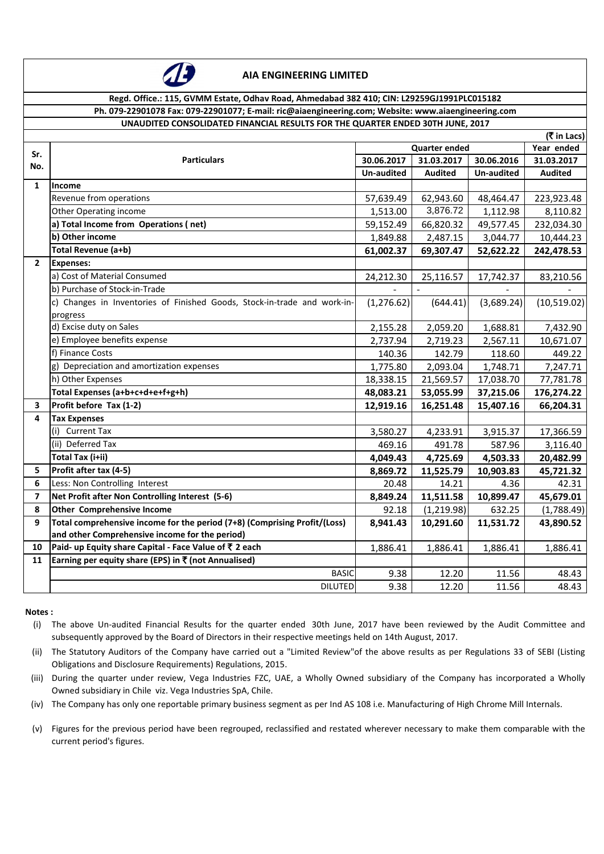

#### **AIA ENGINEERING LIMITED**

## **Regd. Office.: 115, GVMM Estate, Odhav Road, Ahmedabad 382 410; CIN: L29259GJ1991PLC015182**

### **Ph. 079-22901078 Fax: 079-22901077; E-mail: ric@aiaengineering.com; Website: www.aiaengineering.com**

# **UNAUDITED CONSOLIDATED FINANCIAL RESULTS FOR THE QUARTER ENDED 30TH JUNE, 2017**

|                | (₹ in Lacs)                                                               |                      |                |                   |                |  |  |  |  |
|----------------|---------------------------------------------------------------------------|----------------------|----------------|-------------------|----------------|--|--|--|--|
| Sr.            |                                                                           | <b>Quarter ended</b> | Year ended     |                   |                |  |  |  |  |
| No.            | <b>Particulars</b>                                                        | 30.06.2017           | 31.03.2017     | 30.06.2016        | 31.03.2017     |  |  |  |  |
|                |                                                                           | <b>Un-audited</b>    | <b>Audited</b> | <b>Un-audited</b> | <b>Audited</b> |  |  |  |  |
| 1              | <b>Income</b>                                                             |                      |                |                   |                |  |  |  |  |
|                | Revenue from operations                                                   | 57,639.49            | 62,943.60      | 48,464.47         | 223,923.48     |  |  |  |  |
|                | Other Operating income                                                    | 1,513.00             | 3,876.72       | 1,112.98          | 8,110.82       |  |  |  |  |
|                | a) Total Income from Operations (net)                                     | 59,152.49            | 66,820.32      | 49,577.45         | 232,034.30     |  |  |  |  |
|                | b) Other income                                                           | 1,849.88             | 2,487.15       | 3,044.77          | 10,444.23      |  |  |  |  |
|                | Total Revenue (a+b)                                                       | 61,002.37            | 69,307.47      | 52,622.22         | 242,478.53     |  |  |  |  |
| $\overline{2}$ | <b>Expenses:</b>                                                          |                      |                |                   |                |  |  |  |  |
|                | a) Cost of Material Consumed                                              | 24,212.30            | 25,116.57      | 17,742.37         | 83,210.56      |  |  |  |  |
|                | b) Purchase of Stock-in-Trade                                             |                      |                |                   |                |  |  |  |  |
|                | c) Changes in Inventories of Finished Goods, Stock-in-trade and work-in-  | (1, 276.62)          | (644.41)       | (3,689.24)        | (10,519.02)    |  |  |  |  |
|                | progress                                                                  |                      |                |                   |                |  |  |  |  |
|                | d) Excise duty on Sales                                                   | 2,155.28             | 2,059.20       | 1,688.81          | 7,432.90       |  |  |  |  |
|                | e) Employee benefits expense                                              | 2,737.94             | 2,719.23       | 2,567.11          | 10,671.07      |  |  |  |  |
|                | f) Finance Costs                                                          | 140.36               | 142.79         | 118.60            | 449.22         |  |  |  |  |
|                | Depreciation and amortization expenses<br>g)                              | 1,775.80             | 2,093.04       | 1,748.71          | 7,247.71       |  |  |  |  |
|                | h) Other Expenses                                                         | 18,338.15            | 21,569.57      | 17,038.70         | 77,781.78      |  |  |  |  |
|                | Total Expenses (a+b+c+d+e+f+g+h)                                          | 48,083.21            | 53,055.99      | 37,215.06         | 176,274.22     |  |  |  |  |
| 3              | Profit before Tax (1-2)                                                   | 12,919.16            | 16,251.48      | 15,407.16         | 66,204.31      |  |  |  |  |
| 4              | <b>Tax Expenses</b>                                                       |                      |                |                   |                |  |  |  |  |
|                | <b>Current Tax</b><br>(i)                                                 | 3,580.27             | 4,233.91       | 3,915.37          | 17,366.59      |  |  |  |  |
|                | (ii) Deferred Tax                                                         | 469.16               | 491.78         | 587.96            | 3,116.40       |  |  |  |  |
|                | Total Tax (i+ii)                                                          | 4,049.43             | 4,725.69       | 4,503.33          | 20,482.99      |  |  |  |  |
| 5              | Profit after tax (4-5)                                                    | 8,869.72             | 11,525.79      | 10,903.83         | 45,721.32      |  |  |  |  |
| 6              | Less: Non Controlling Interest                                            | 20.48                | 14.21          | 4.36              | 42.31          |  |  |  |  |
| 7              | Net Profit after Non Controlling Interest (5-6)                           | 8,849.24             | 11,511.58      | 10,899.47         | 45,679.01      |  |  |  |  |
| 8              | <b>Other Comprehensive Income</b>                                         | 92.18                | (1, 219.98)    | 632.25            | (1,788.49)     |  |  |  |  |
| 9              | Total comprehensive income for the period (7+8) (Comprising Profit/(Loss) | 8,941.43             | 10,291.60      | 11,531.72         | 43,890.52      |  |  |  |  |
|                | and other Comprehensive income for the period)                            |                      |                |                   |                |  |  |  |  |
| 10             | Paid- up Equity share Capital - Face Value of ₹ 2 each                    | 1,886.41             | 1,886.41       | 1,886.41          | 1,886.41       |  |  |  |  |
| 11             | Earning per equity share (EPS) in $\bar{\tau}$ (not Annualised)           |                      |                |                   |                |  |  |  |  |
|                | <b>BASIC</b>                                                              | 9.38                 | 12.20          | 11.56             | 48.43          |  |  |  |  |
|                | <b>DILUTED</b>                                                            | 9.38                 | 12.20          | 11.56             | 48.43          |  |  |  |  |

#### **Notes :**

- (i) The above Un-audited Financial Results for the quarter ended 30th June, 2017 have been reviewed by the Audit Committee and subsequently approved by the Board of Directors in their respective meetings held on 14th August, 2017.
- (ii) The Statutory Auditors of the Company have carried out a "Limited Review"of the above results as per Regulations 33 of SEBI (Listing Obligations and Disclosure Requirements) Regulations, 2015.
- (iii) During the quarter under review, Vega Industries FZC, UAE, a Wholly Owned subsidiary of the Company has incorporated a Wholly Owned subsidiary in Chile viz. Vega Industries SpA, Chile.
- (iv) The Company has only one reportable primary business segment as per Ind AS 108 i.e. Manufacturing of High Chrome Mill Internals.
- (v) Figures for the previous period have been regrouped, reclassified and restated wherever necessary to make them comparable with the current period's figures.